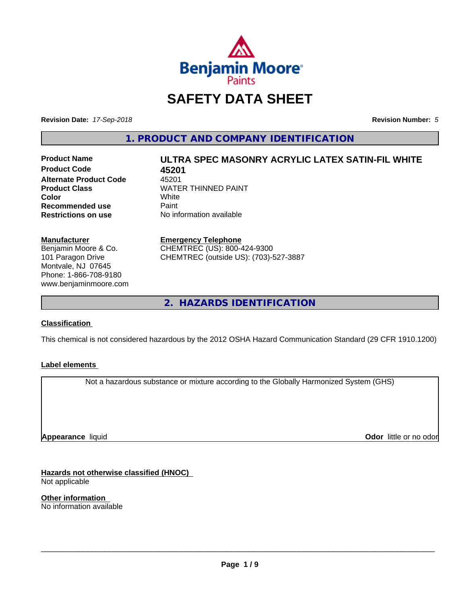

# **SAFETY DATA SHEET**

**Revision Date:** *17-Sep-2018* **Revision Number:** *5*

**1. PRODUCT AND COMPANY IDENTIFICATION**

**Product Code 45201 Alternate Product Code** 45201<br>Product Class **MATE Color** White White **Recommended use** Paint<br> **Restrictions on use** No inf

# **Product Name ULTRA SPEC MASONRY ACRYLIC LATEX SATIN-FIL WHITE**

**WATER THINNED PAINT**<br>White **Restrictions on use** No information available

**Manufacturer** Benjamin Moore & Co. 101 Paragon Drive

Montvale, NJ 07645 Phone: 1-866-708-9180 www.benjaminmoore.com

#### **Emergency Telephone**

CHEMTREC (US): 800-424-9300 CHEMTREC (outside US): (703)-527-3887

**2. HAZARDS IDENTIFICATION**

# **Classification**

This chemical is not considered hazardous by the 2012 OSHA Hazard Communication Standard (29 CFR 1910.1200)

#### **Label elements**

Not a hazardous substance or mixture according to the Globally Harmonized System (GHS)

**Appearance** liquid

**Odor** little or no odor

**Hazards not otherwise classified (HNOC)** Not applicable

**Other information** No information available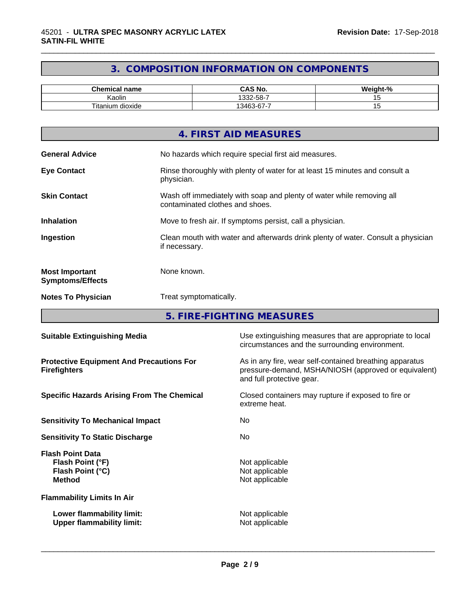# **3. COMPOSITION INFORMATION ON COMPONENTS**

\_\_\_\_\_\_\_\_\_\_\_\_\_\_\_\_\_\_\_\_\_\_\_\_\_\_\_\_\_\_\_\_\_\_\_\_\_\_\_\_\_\_\_\_\_\_\_\_\_\_\_\_\_\_\_\_\_\_\_\_\_\_\_\_\_\_\_\_\_\_\_\_\_\_\_\_\_\_\_\_\_\_\_\_\_\_\_\_\_\_\_\_\_

| mical name<br>her.<br>.               | <b>CAS No.</b>                          | $\sim$<br><br>70 |
|---------------------------------------|-----------------------------------------|------------------|
| . .<br>Kaolir                         | E O<br>-<br>000<br>-၁୪-<br>∶∠ت          |                  |
| $- \cdot$ .<br>ı dioxide<br>l itanium | -<br>$\sim$<br>3463<br>. ח-ר<br>.<br>ັບ |                  |

|                                                  | 4. FIRST AID MEASURES                                                                                    |
|--------------------------------------------------|----------------------------------------------------------------------------------------------------------|
| <b>General Advice</b>                            | No hazards which require special first aid measures.                                                     |
| <b>Eye Contact</b>                               | Rinse thoroughly with plenty of water for at least 15 minutes and consult a<br>physician.                |
| <b>Skin Contact</b>                              | Wash off immediately with soap and plenty of water while removing all<br>contaminated clothes and shoes. |
| <b>Inhalation</b>                                | Move to fresh air. If symptoms persist, call a physician.                                                |
| Ingestion                                        | Clean mouth with water and afterwards drink plenty of water. Consult a physician<br>if necessary.        |
| <b>Most Important</b><br><b>Symptoms/Effects</b> | None known.                                                                                              |
| <b>Notes To Physician</b>                        | Treat symptomatically.                                                                                   |
|                                                  |                                                                                                          |

**5. FIRE-FIGHTING MEASURES**

| <b>Suitable Extinguishing Media</b>                                              | Use extinguishing measures that are appropriate to local<br>circumstances and the surrounding environment.                                   |
|----------------------------------------------------------------------------------|----------------------------------------------------------------------------------------------------------------------------------------------|
| <b>Protective Equipment And Precautions For</b><br><b>Firefighters</b>           | As in any fire, wear self-contained breathing apparatus<br>pressure-demand, MSHA/NIOSH (approved or equivalent)<br>and full protective gear. |
| <b>Specific Hazards Arising From The Chemical</b>                                | Closed containers may rupture if exposed to fire or<br>extreme heat.                                                                         |
| <b>Sensitivity To Mechanical Impact</b>                                          | No.                                                                                                                                          |
| <b>Sensitivity To Static Discharge</b>                                           | No.                                                                                                                                          |
| <b>Flash Point Data</b><br>Flash Point (°F)<br>Flash Point (°C)<br><b>Method</b> | Not applicable<br>Not applicable<br>Not applicable                                                                                           |
| <b>Flammability Limits In Air</b>                                                |                                                                                                                                              |
| Lower flammability limit:<br><b>Upper flammability limit:</b>                    | Not applicable<br>Not applicable                                                                                                             |
|                                                                                  |                                                                                                                                              |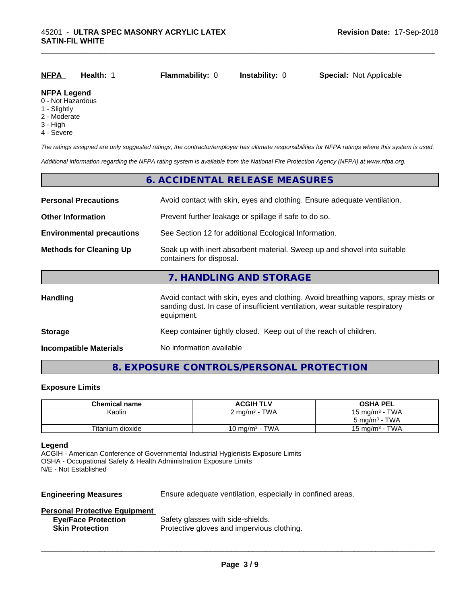| <u>NFPA</u>        | Health: 1 | <b>Flammability: 0</b> | <b>Instability: 0</b> | <b>Special: Not Applicable</b> |
|--------------------|-----------|------------------------|-----------------------|--------------------------------|
| <b>NFPA Legend</b> |           |                        |                       |                                |

#### 0 - Not Hazardous

- 1 Slightly
- 2 Moderate
- 3 High
- 4 Severe

*The ratings assigned are only suggested ratings, the contractor/employer has ultimate responsibilities for NFPA ratings where this system is used.*

*Additional information regarding the NFPA rating system is available from the National Fire Protection Agency (NFPA) at www.nfpa.org.*

# **6. ACCIDENTAL RELEASE MEASURES**

| <b>Personal Precautions</b>      | Avoid contact with skin, eyes and clothing. Ensure adequate ventilation.                                                                                                         |
|----------------------------------|----------------------------------------------------------------------------------------------------------------------------------------------------------------------------------|
| <b>Other Information</b>         | Prevent further leakage or spillage if safe to do so.                                                                                                                            |
| <b>Environmental precautions</b> | See Section 12 for additional Ecological Information.                                                                                                                            |
| <b>Methods for Cleaning Up</b>   | Soak up with inert absorbent material. Sweep up and shovel into suitable<br>containers for disposal.                                                                             |
|                                  | 7. HANDLING AND STORAGE                                                                                                                                                          |
| Handling                         | Avoid contact with skin, eyes and clothing. Avoid breathing vapors, spray mists or<br>sanding dust. In case of insufficient ventilation, wear suitable respiratory<br>equipment. |
| <b>Storage</b>                   | Keep container tightly closed. Keep out of the reach of children.                                                                                                                |
| <b>Incompatible Materials</b>    | No information available                                                                                                                                                         |

# **8. EXPOSURE CONTROLS/PERSONAL PROTECTION**

#### **Exposure Limits**

| <b>Chemical name</b> | <b>ACGIH TLV</b>                | <b>OSHA PEL</b>            |
|----------------------|---------------------------------|----------------------------|
| Kaolin               | $2 \text{ mg/m}^3$ - TWA        | 15 mg/m $3$ - TWA          |
|                      |                                 | $5 \text{ ma/m}^3$ - TWA   |
| Titanium dioxide     | · TWA<br>10 mg/m <sup>3</sup> - | - TWA<br>15 mg/m $3 \cdot$ |

#### **Legend**

ACGIH - American Conference of Governmental Industrial Hygienists Exposure Limits OSHA - Occupational Safety & Health Administration Exposure Limits N/E - Not Established

**Engineering Measures** Ensure adequate ventilation, especially in confined areas.

 $\overline{\phantom{a}}$  ,  $\overline{\phantom{a}}$  ,  $\overline{\phantom{a}}$  ,  $\overline{\phantom{a}}$  ,  $\overline{\phantom{a}}$  ,  $\overline{\phantom{a}}$  ,  $\overline{\phantom{a}}$  ,  $\overline{\phantom{a}}$  ,  $\overline{\phantom{a}}$  ,  $\overline{\phantom{a}}$  ,  $\overline{\phantom{a}}$  ,  $\overline{\phantom{a}}$  ,  $\overline{\phantom{a}}$  ,  $\overline{\phantom{a}}$  ,  $\overline{\phantom{a}}$  ,  $\overline{\phantom{a}}$ 

#### **Personal Protective Equipment**

| <b>Eye/Face Protection</b> | Safety glasses with side-shields.          |
|----------------------------|--------------------------------------------|
| <b>Skin Protection</b>     | Protective gloves and impervious clothing. |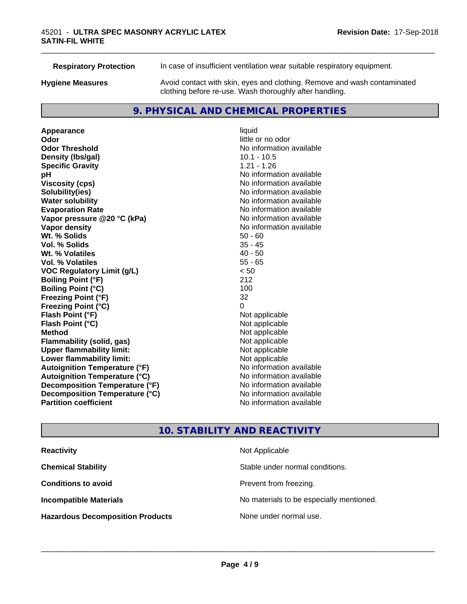**Respiratory Protection** In case of insufficient ventilation wear suitable respiratory equipment.

**Hygiene Measures** Avoid contact with skin, eyes and clothing. Remove and wash contaminated

\_\_\_\_\_\_\_\_\_\_\_\_\_\_\_\_\_\_\_\_\_\_\_\_\_\_\_\_\_\_\_\_\_\_\_\_\_\_\_\_\_\_\_\_\_\_\_\_\_\_\_\_\_\_\_\_\_\_\_\_\_\_\_\_\_\_\_\_\_\_\_\_\_\_\_\_\_\_\_\_\_\_\_\_\_\_\_\_\_\_\_\_\_

clothing before re-use. Wash thoroughly after handling.

# **9. PHYSICAL AND CHEMICAL PROPERTIES**

**Appearance** liquid **Odor** little or no odor **Odor Threshold No information available No information available Density (Ibs/gal)** 10.1 - 10.5 **Specific Gravity** 1.21 - 1.26 **pH** No information available **Viscosity (cps)** No information available **Solubility(ies)** No information available **Evaporation Rate No information available No information available Vapor pressure @20 °C (kPa)** No information available **Vapor density No information available No** information available **Wt. % Solids** 50 - 60 **Vol. % Solids** 35 - 45 **Wt. % Volatiles Vol. % Volatiles** 55 - 65 **VOC Regulatory Limit (g/L)** < 50 **Boiling Point (°F)** 212 **Boiling Point (°C)** 100 **Freezing Point (°F)** 32 **Freezing Point (°C)** 0 **Flash Point (°F)**<br> **Flash Point (°C)**<br> **Flash Point (°C)**<br> **C Flash Point (°C) Method** Not applicable **Flammability (solid, gas)** Not applicable<br> **Upper flammability limit:** Not applicable **Upper flammability limit: Lower flammability limit:** Not applicable **Autoignition Temperature (°F)** No information available **Autoignition Temperature (°C)** No information available **Decomposition Temperature (°F)** No information available **Decomposition Temperature (°C)** No information available **Partition coefficient Contract Community No information available** 

**No information available** 

# **10. STABILITY AND REACTIVITY**

| <b>Reactivity</b>                       | Not Applicable                           |
|-----------------------------------------|------------------------------------------|
| <b>Chemical Stability</b>               | Stable under normal conditions.          |
| <b>Conditions to avoid</b>              | Prevent from freezing.                   |
| <b>Incompatible Materials</b>           | No materials to be especially mentioned. |
| <b>Hazardous Decomposition Products</b> | None under normal use.                   |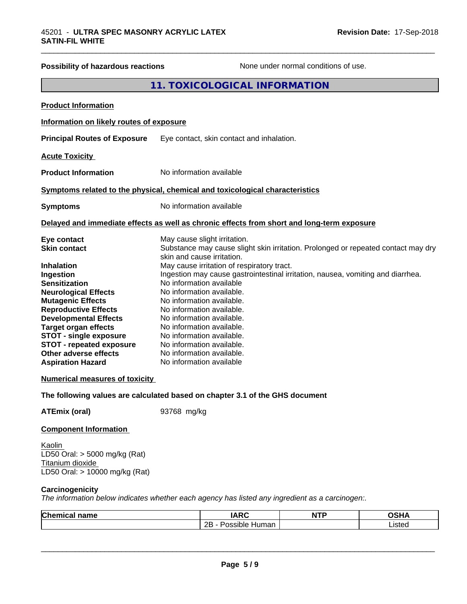| <b>Possibility of hazardous reactions</b>                                                                                                                                                                                                                                                                                                                                         | None under normal conditions of use.                                                                                                                                                                                                                                                                                                                                                                                                                        |
|-----------------------------------------------------------------------------------------------------------------------------------------------------------------------------------------------------------------------------------------------------------------------------------------------------------------------------------------------------------------------------------|-------------------------------------------------------------------------------------------------------------------------------------------------------------------------------------------------------------------------------------------------------------------------------------------------------------------------------------------------------------------------------------------------------------------------------------------------------------|
|                                                                                                                                                                                                                                                                                                                                                                                   | 11. TOXICOLOGICAL INFORMATION                                                                                                                                                                                                                                                                                                                                                                                                                               |
| <b>Product Information</b>                                                                                                                                                                                                                                                                                                                                                        |                                                                                                                                                                                                                                                                                                                                                                                                                                                             |
| Information on likely routes of exposure                                                                                                                                                                                                                                                                                                                                          |                                                                                                                                                                                                                                                                                                                                                                                                                                                             |
| <b>Principal Routes of Exposure</b>                                                                                                                                                                                                                                                                                                                                               | Eye contact, skin contact and inhalation.                                                                                                                                                                                                                                                                                                                                                                                                                   |
|                                                                                                                                                                                                                                                                                                                                                                                   |                                                                                                                                                                                                                                                                                                                                                                                                                                                             |
| <b>Acute Toxicity</b>                                                                                                                                                                                                                                                                                                                                                             |                                                                                                                                                                                                                                                                                                                                                                                                                                                             |
| <b>Product Information</b>                                                                                                                                                                                                                                                                                                                                                        | No information available                                                                                                                                                                                                                                                                                                                                                                                                                                    |
|                                                                                                                                                                                                                                                                                                                                                                                   | Symptoms related to the physical, chemical and toxicological characteristics                                                                                                                                                                                                                                                                                                                                                                                |
| <b>Symptoms</b>                                                                                                                                                                                                                                                                                                                                                                   | No information available                                                                                                                                                                                                                                                                                                                                                                                                                                    |
|                                                                                                                                                                                                                                                                                                                                                                                   | Delayed and immediate effects as well as chronic effects from short and long-term exposure                                                                                                                                                                                                                                                                                                                                                                  |
| Eye contact<br><b>Skin contact</b>                                                                                                                                                                                                                                                                                                                                                | May cause slight irritation.<br>Substance may cause slight skin irritation. Prolonged or repeated contact may dry                                                                                                                                                                                                                                                                                                                                           |
| <b>Inhalation</b><br>Ingestion<br><b>Sensitization</b><br><b>Neurological Effects</b><br><b>Mutagenic Effects</b><br><b>Reproductive Effects</b><br><b>Developmental Effects</b><br><b>Target organ effects</b><br><b>STOT - single exposure</b><br><b>STOT - repeated exposure</b><br>Other adverse effects<br><b>Aspiration Hazard</b><br><b>Numerical measures of toxicity</b> | skin and cause irritation.<br>May cause irritation of respiratory tract.<br>Ingestion may cause gastrointestinal irritation, nausea, vomiting and diarrhea.<br>No information available<br>No information available.<br>No information available.<br>No information available.<br>No information available.<br>No information available.<br>No information available.<br>No information available.<br>No information available.<br>No information available |
|                                                                                                                                                                                                                                                                                                                                                                                   | The following values are calculated based on chapter 3.1 of the GHS document                                                                                                                                                                                                                                                                                                                                                                                |
| <b>ATEmix (oral)</b>                                                                                                                                                                                                                                                                                                                                                              | 93768 mg/kg                                                                                                                                                                                                                                                                                                                                                                                                                                                 |
| <b>Component Information</b>                                                                                                                                                                                                                                                                                                                                                      |                                                                                                                                                                                                                                                                                                                                                                                                                                                             |
| Kaolin<br>LD50 Oral: > 5000 mg/kg (Rat)<br>Titanium dioxide<br>LD50 Oral: > 10000 mg/kg (Rat)                                                                                                                                                                                                                                                                                     |                                                                                                                                                                                                                                                                                                                                                                                                                                                             |
| Carcinogenicity                                                                                                                                                                                                                                                                                                                                                                   | The information below indicates whether each agency has listed any ingredient as a carcinogen:.                                                                                                                                                                                                                                                                                                                                                             |

| <b>Chemical name</b> | <b>IARC</b>                                   | <b>NTP</b> | <b>OCU</b><br>שטש |
|----------------------|-----------------------------------------------|------------|-------------------|
|                      | $\Omega$<br>.<br>-<br>Possible<br>Human<br>∠∟ |            | Listed            |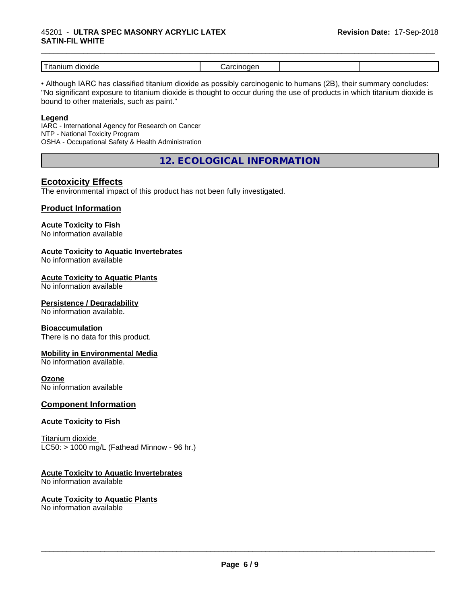#### 45201 - **ULTRA SPEC MASONRY ACRYLIC LATEX SATIN-FIL WHITE**

| _<br>dioxide<br>$\sim$ $\sim$<br>шл<br>1 L c | .<br> |  |
|----------------------------------------------|-------|--|

\_\_\_\_\_\_\_\_\_\_\_\_\_\_\_\_\_\_\_\_\_\_\_\_\_\_\_\_\_\_\_\_\_\_\_\_\_\_\_\_\_\_\_\_\_\_\_\_\_\_\_\_\_\_\_\_\_\_\_\_\_\_\_\_\_\_\_\_\_\_\_\_\_\_\_\_\_\_\_\_\_\_\_\_\_\_\_\_\_\_\_\_\_

• Although IARC has classified titanium dioxide as possibly carcinogenic to humans (2B), their summary concludes: "No significant exposure to titanium dioxide is thought to occur during the use of products in which titanium dioxide is bound to other materials, such as paint."

#### **Legend**

IARC - International Agency for Research on Cancer NTP - National Toxicity Program OSHA - Occupational Safety & Health Administration

**12. ECOLOGICAL INFORMATION**

# **Ecotoxicity Effects**

The environmental impact of this product has not been fully investigated.

#### **Product Information**

# **Acute Toxicity to Fish**

No information available

#### **Acute Toxicity to Aquatic Invertebrates**

No information available

#### **Acute Toxicity to Aquatic Plants**

No information available

#### **Persistence / Degradability**

No information available.

#### **Bioaccumulation**

There is no data for this product.

#### **Mobility in Environmental Media**

No information available.

#### **Ozone**

No information available

#### **Component Information**

#### **Acute Toxicity to Fish**

Titanium dioxide  $LC50:$  > 1000 mg/L (Fathead Minnow - 96 hr.)

#### **Acute Toxicity to Aquatic Invertebrates**

No information available

# **Acute Toxicity to Aquatic Plants**

No information available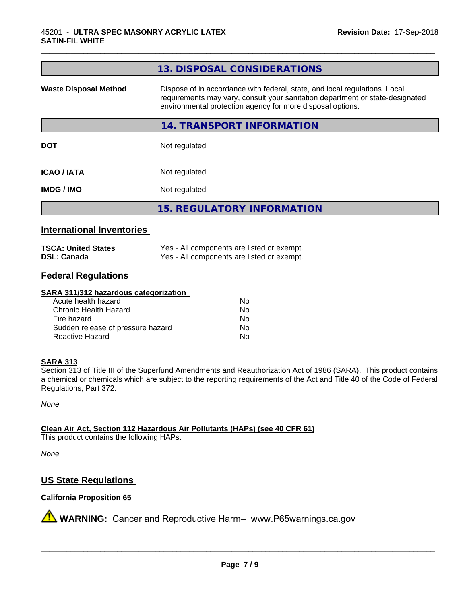|                              | 13. DISPOSAL CONSIDERATIONS                                                                                                                                                                                               |
|------------------------------|---------------------------------------------------------------------------------------------------------------------------------------------------------------------------------------------------------------------------|
| <b>Waste Disposal Method</b> | Dispose of in accordance with federal, state, and local regulations. Local<br>requirements may vary, consult your sanitation department or state-designated<br>environmental protection agency for more disposal options. |
|                              | <b>14. TRANSPORT INFORMATION</b>                                                                                                                                                                                          |
| <b>DOT</b>                   | Not regulated                                                                                                                                                                                                             |
| <b>ICAO/IATA</b>             | Not regulated                                                                                                                                                                                                             |
| <b>IMDG / IMO</b>            | Not regulated                                                                                                                                                                                                             |
|                              | <b>15. REGULATORY INFORMATION</b>                                                                                                                                                                                         |

\_\_\_\_\_\_\_\_\_\_\_\_\_\_\_\_\_\_\_\_\_\_\_\_\_\_\_\_\_\_\_\_\_\_\_\_\_\_\_\_\_\_\_\_\_\_\_\_\_\_\_\_\_\_\_\_\_\_\_\_\_\_\_\_\_\_\_\_\_\_\_\_\_\_\_\_\_\_\_\_\_\_\_\_\_\_\_\_\_\_\_\_\_

## **International Inventories**

| <b>TSCA: United States</b> | Yes - All components are listed or exempt. |
|----------------------------|--------------------------------------------|
| <b>DSL: Canada</b>         | Yes - All components are listed or exempt. |

# **Federal Regulations**

#### **SARA 311/312 hazardous categorization**

| Acute health hazard               | Nο |
|-----------------------------------|----|
| Chronic Health Hazard             | N٥ |
| Fire hazard                       | N٥ |
| Sudden release of pressure hazard | Nο |
| Reactive Hazard                   | N٥ |

#### **SARA 313**

Section 313 of Title III of the Superfund Amendments and Reauthorization Act of 1986 (SARA). This product contains a chemical or chemicals which are subject to the reporting requirements of the Act and Title 40 of the Code of Federal Regulations, Part 372:

*None*

**Clean Air Act,Section 112 Hazardous Air Pollutants (HAPs) (see 40 CFR 61)**

This product contains the following HAPs:

*None*

# **US State Regulations**

# **California Proposition 65**

**A** WARNING: Cancer and Reproductive Harm– www.P65warnings.ca.gov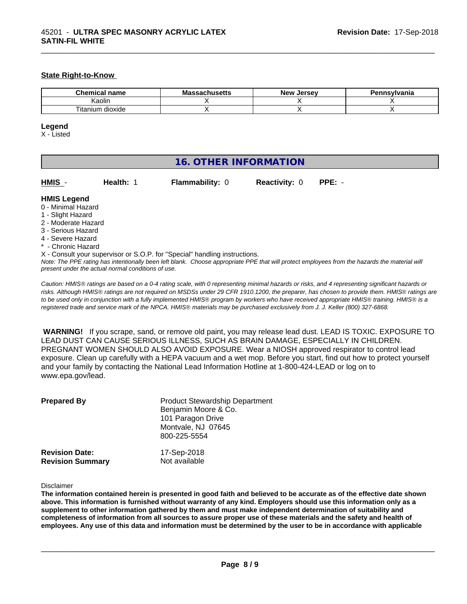#### **State Right-to-Know**

| $\sim$<br>name<br>$n^{\alpha}$ | IVIC<br>nuscus | <i>Larcay</i><br>Nev <sup>.</sup><br>$\sim$<br>135 | svivania |
|--------------------------------|----------------|----------------------------------------------------|----------|
| Kaolir.                        |                |                                                    |          |
| ÷.<br>dioxide<br>l itanium     |                |                                                    |          |

\_\_\_\_\_\_\_\_\_\_\_\_\_\_\_\_\_\_\_\_\_\_\_\_\_\_\_\_\_\_\_\_\_\_\_\_\_\_\_\_\_\_\_\_\_\_\_\_\_\_\_\_\_\_\_\_\_\_\_\_\_\_\_\_\_\_\_\_\_\_\_\_\_\_\_\_\_\_\_\_\_\_\_\_\_\_\_\_\_\_\_\_\_

#### **Legend**

X - Listed

| HMIS -<br>$PPE: -$<br>Health: 1<br><b>Flammability: 0</b><br><b>Reactivity: 0</b>                                                                                                                                                                                                                                                                                                                                                          |
|--------------------------------------------------------------------------------------------------------------------------------------------------------------------------------------------------------------------------------------------------------------------------------------------------------------------------------------------------------------------------------------------------------------------------------------------|
| <b>HMIS Legend</b><br>0 - Minimal Hazard<br>1 - Slight Hazard<br>2 - Moderate Hazard<br>3 - Serious Hazard<br>4 - Severe Hazard<br>* - Chronic Hazard<br>X - Consult your supervisor or S.O.P. for "Special" handling instructions.<br>Note: The PPE rating has intentionally been left blank. Choose appropriate PPE that will protect employees from the hazards the material will<br>present under the actual normal conditions of use. |

*Caution: HMISÒ ratings are based on a 0-4 rating scale, with 0 representing minimal hazards or risks, and 4 representing significant hazards or risks. Although HMISÒ ratings are not required on MSDSs under 29 CFR 1910.1200, the preparer, has chosen to provide them. HMISÒ ratings are to be used only in conjunction with a fully implemented HMISÒ program by workers who have received appropriate HMISÒ training. HMISÒ is a registered trade and service mark of the NPCA. HMISÒ materials may be purchased exclusively from J. J. Keller (800) 327-6868.*

 **WARNING!** If you scrape, sand, or remove old paint, you may release lead dust. LEAD IS TOXIC. EXPOSURE TO LEAD DUST CAN CAUSE SERIOUS ILLNESS, SUCH AS BRAIN DAMAGE, ESPECIALLY IN CHILDREN. PREGNANT WOMEN SHOULD ALSO AVOID EXPOSURE.Wear a NIOSH approved respirator to control lead exposure. Clean up carefully with a HEPA vacuum and a wet mop. Before you start, find out how to protect yourself and your family by contacting the National Lead Information Hotline at 1-800-424-LEAD or log on to www.epa.gov/lead.

| <b>Prepared By</b>      | <b>Product Stewardship Department</b><br>Benjamin Moore & Co.<br>101 Paragon Drive<br>Montvale, NJ 07645<br>800-225-5554 |
|-------------------------|--------------------------------------------------------------------------------------------------------------------------|
| <b>Revision Date:</b>   | 17-Sep-2018                                                                                                              |
| <b>Revision Summary</b> | Not available                                                                                                            |

#### Disclaimer

The information contained herein is presented in good faith and believed to be accurate as of the effective date shown above. This information is furnished without warranty of any kind. Employers should use this information only as a **supplement to other information gathered by them and must make independent determination of suitability and** completeness of information from all sources to assure proper use of these materials and the safety and health of employees. Any use of this data and information must be determined by the user to be in accordance with applicable